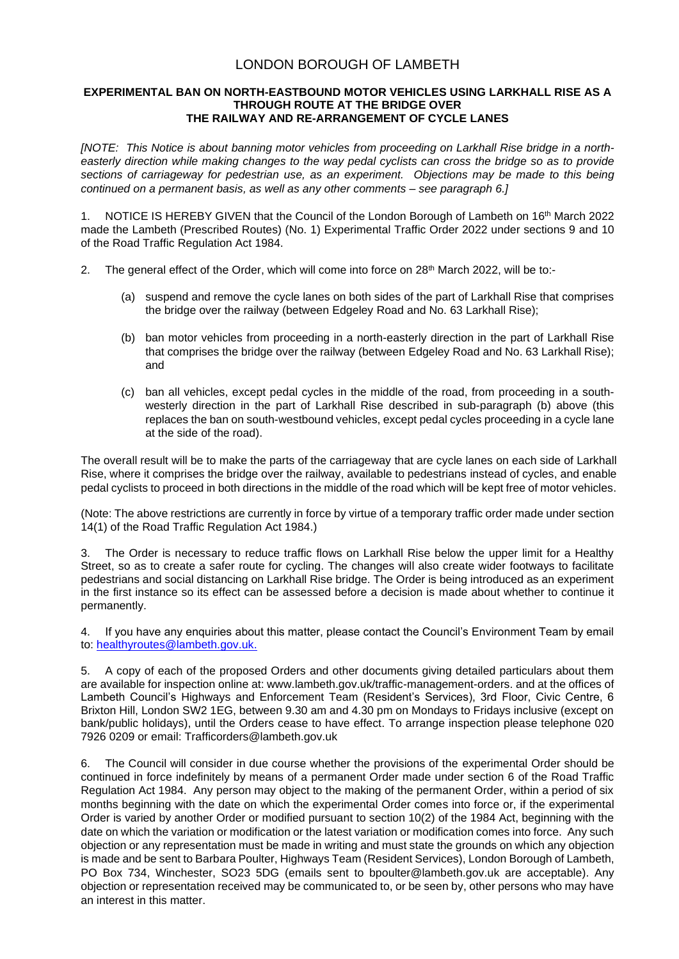## LONDON BOROUGH OF LAMBETH

## **EXPERIMENTAL BAN ON NORTH-EASTBOUND MOTOR VEHICLES USING LARKHALL RISE AS A THROUGH ROUTE AT THE BRIDGE OVER THE RAILWAY AND RE-ARRANGEMENT OF CYCLE LANES**

*[NOTE: This Notice is about banning motor vehicles from proceeding on Larkhall Rise bridge in a northeasterly direction while making changes to the way pedal cyclists can cross the bridge so as to provide sections of carriageway for pedestrian use, as an experiment. Objections may be made to this being continued on a permanent basis, as well as any other comments – see paragraph 6.]*

1. NOTICE IS HEREBY GIVEN that the Council of the London Borough of Lambeth on 16<sup>th</sup> March 2022 made the Lambeth (Prescribed Routes) (No. 1) Experimental Traffic Order 2022 under sections 9 and 10 of the Road Traffic Regulation Act 1984.

- 2. The general effect of the Order, which will come into force on 28<sup>th</sup> March 2022, will be to:-
	- (a) suspend and remove the cycle lanes on both sides of the part of Larkhall Rise that comprises the bridge over the railway (between Edgeley Road and No. 63 Larkhall Rise);
	- (b) ban motor vehicles from proceeding in a north-easterly direction in the part of Larkhall Rise that comprises the bridge over the railway (between Edgeley Road and No. 63 Larkhall Rise); and
	- (c) ban all vehicles, except pedal cycles in the middle of the road, from proceeding in a southwesterly direction in the part of Larkhall Rise described in sub-paragraph (b) above (this replaces the ban on south-westbound vehicles, except pedal cycles proceeding in a cycle lane at the side of the road).

The overall result will be to make the parts of the carriageway that are cycle lanes on each side of Larkhall Rise, where it comprises the bridge over the railway, available to pedestrians instead of cycles, and enable pedal cyclists to proceed in both directions in the middle of the road which will be kept free of motor vehicles.

(Note: The above restrictions are currently in force by virtue of a temporary traffic order made under section 14(1) of the Road Traffic Regulation Act 1984.)

The Order is necessary to reduce traffic flows on Larkhall Rise below the upper limit for a Healthy Street, so as to create a safer route for cycling. The changes will also create wider footways to facilitate pedestrians and social distancing on Larkhall Rise bridge. The Order is being introduced as an experiment in the first instance so its effect can be assessed before a decision is made about whether to continue it permanently.

4. If you have any enquiries about this matter, please contact the Council's Environment Team by email to: [healthyroutes@lambeth.gov.uk.](mailto:healthyroutes@lambeth.gov.uk)

5. A copy of each of the proposed Orders and other documents giving detailed particulars about them are available for inspection online at: www.lambeth.gov.uk/traffic-management-orders. and at the offices of Lambeth Council's Highways and Enforcement Team (Resident's Services), 3rd Floor, Civic Centre, 6 Brixton Hill, London SW2 1EG, between 9.30 am and 4.30 pm on Mondays to Fridays inclusive (except on bank/public holidays), until the Orders cease to have effect. To arrange inspection please telephone 020 7926 0209 or email: Trafficorders@lambeth.gov.uk

6. The Council will consider in due course whether the provisions of the experimental Order should be continued in force indefinitely by means of a permanent Order made under section 6 of the Road Traffic Regulation Act 1984. Any person may object to the making of the permanent Order, within a period of six months beginning with the date on which the experimental Order comes into force or, if the experimental Order is varied by another Order or modified pursuant to section 10(2) of the 1984 Act, beginning with the date on which the variation or modification or the latest variation or modification comes into force. Any such objection or any representation must be made in writing and must state the grounds on which any objection is made and be sent to Barbara Poulter, Highways Team (Resident Services), London Borough of Lambeth, PO Box 734, Winchester, SO23 5DG (emails sent to [bpoulter@lambeth.gov.uk](mailto:bpoulter@lambeth.gov.uk) are acceptable). Any objection or representation received may be communicated to, or be seen by, other persons who may have an interest in this matter.